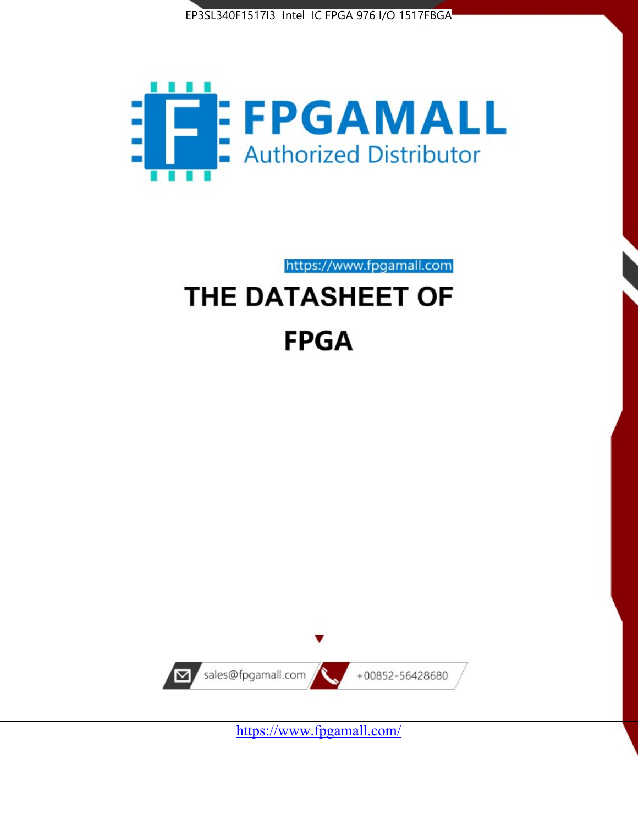



https://www.fpgamall.com

# THE DATASHEET OF **FPGA**



<https://www.fpgamall.com/>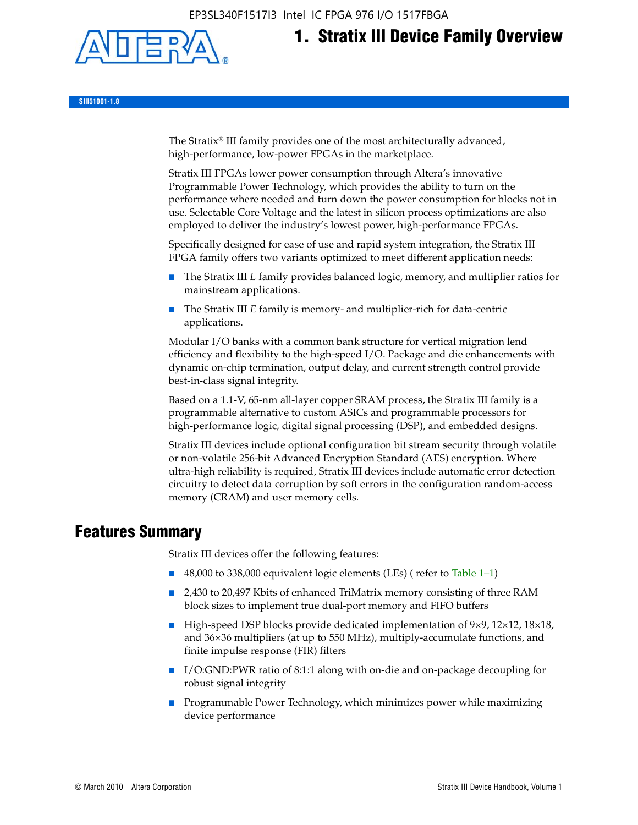EP3SL340F1517I3 Intel IC FPGA 976 I/O 1517FBGA



# **1. Stratix III Device Family Overview**

**SIII51001-1.8**

The Stratix® III family provides one of the most architecturally advanced, high-performance, low-power FPGAs in the marketplace.

Stratix III FPGAs lower power consumption through Altera's innovative Programmable Power Technology, which provides the ability to turn on the performance where needed and turn down the power consumption for blocks not in use. Selectable Core Voltage and the latest in silicon process optimizations are also employed to deliver the industry's lowest power, high-performance FPGAs.

Specifically designed for ease of use and rapid system integration, the Stratix III FPGA family offers two variants optimized to meet different application needs:

- The Stratix III *L* family provides balanced logic, memory, and multiplier ratios for mainstream applications.
- The Stratix III *E* family is memory- and multiplier-rich for data-centric applications.

Modular I/O banks with a common bank structure for vertical migration lend efficiency and flexibility to the high-speed I/O. Package and die enhancements with dynamic on-chip termination, output delay, and current strength control provide best-in-class signal integrity.

Based on a 1.1-V, 65-nm all-layer copper SRAM process, the Stratix III family is a programmable alternative to custom ASICs and programmable processors for high-performance logic, digital signal processing (DSP), and embedded designs.

Stratix III devices include optional configuration bit stream security through volatile or non-volatile 256-bit Advanced Encryption Standard (AES) encryption. Where ultra-high reliability is required, Stratix III devices include automatic error detection circuitry to detect data corruption by soft errors in the configuration random-access memory (CRAM) and user memory cells.

# **Features Summary**

Stratix III devices offer the following features:

- 48,000 to 338,000 equivalent logic elements (LEs) (refer to Table 1–1)
- 2,430 to 20,497 Kbits of enhanced TriMatrix memory consisting of three RAM block sizes to implement true dual-port memory and FIFO buffers
- High-speed DSP blocks provide dedicated implementation of 9×9, 12×12, 18×18, and 36×36 multipliers (at up to 550 MHz), multiply-accumulate functions, and finite impulse response (FIR) filters
- I/O:GND:PWR ratio of 8:1:1 along with on-die and on-package decoupling for robust signal integrity
- Programmable Power Technology, which minimizes power while maximizing device performance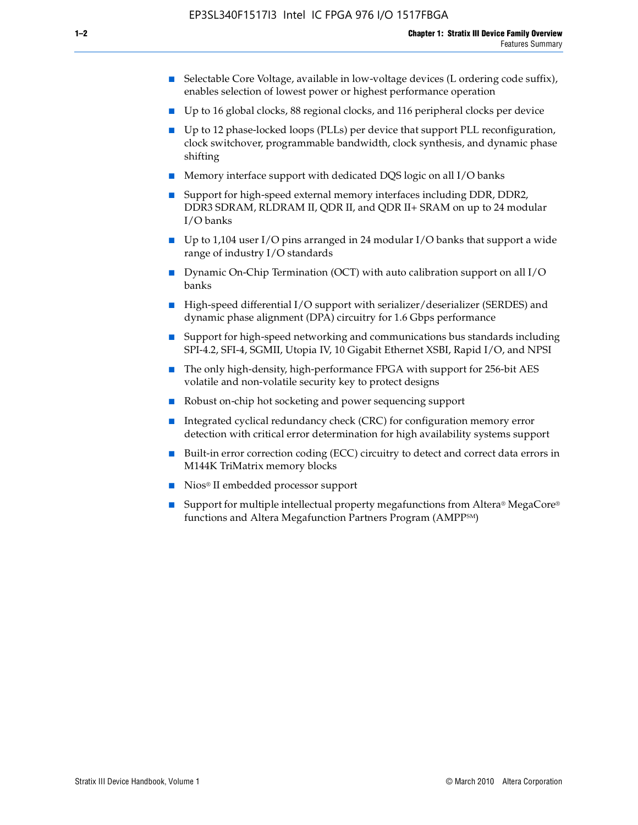- Selectable Core Voltage, available in low-voltage devices (L ordering code suffix), enables selection of lowest power or highest performance operation
- Up to 16 global clocks, 88 regional clocks, and 116 peripheral clocks per device
- Up to 12 phase-locked loops (PLLs) per device that support PLL reconfiguration, clock switchover, programmable bandwidth, clock synthesis, and dynamic phase shifting
- Memory interface support with dedicated DQS logic on all I/O banks
- Support for high-speed external memory interfaces including DDR, DDR2, DDR3 SDRAM, RLDRAM II, QDR II, and QDR II+ SRAM on up to 24 modular I/O banks
- Up to 1,104 user I/O pins arranged in 24 modular I/O banks that support a wide range of industry I/O standards
- Dynamic On-Chip Termination (OCT) with auto calibration support on all  $I/O$ banks
- High-speed differential I/O support with serializer/deserializer (SERDES) and dynamic phase alignment (DPA) circuitry for 1.6 Gbps performance
- Support for high-speed networking and communications bus standards including SPI-4.2, SFI-4, SGMII, Utopia IV, 10 Gigabit Ethernet XSBI, Rapid I/O, and NPSI
- The only high-density, high-performance FPGA with support for 256-bit AES volatile and non-volatile security key to protect designs
- Robust on-chip hot socketing and power sequencing support
- Integrated cyclical redundancy check (CRC) for configuration memory error detection with critical error determination for high availability systems support
- Built-in error correction coding (ECC) circuitry to detect and correct data errors in M144K TriMatrix memory blocks
- Nios<sup>®</sup> II embedded processor support
- Support for multiple intellectual property megafunctions from Altera® MegaCore® functions and Altera Megafunction Partners Program (AMPPSM)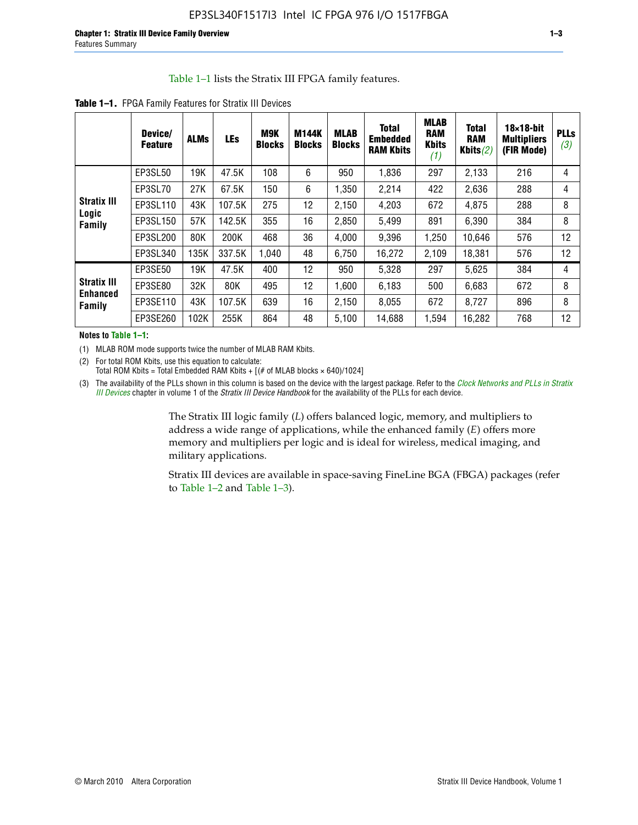#### Table 1–1 lists the Stratix III FPGA family features.

|                                       | Device/<br><b>Feature</b> | <b>ALMs</b> | LEs    | M9K<br><b>Blocks</b> | <b>M144K</b><br><b>Blocks</b> | <b>MLAB</b><br><b>Blocks</b> | <b>Total</b><br><b>Embedded</b><br><b>RAM Kbits</b> | <b>MLAB</b><br><b>RAM</b><br><b>Kbits</b><br>(1) | <b>Total</b><br><b>RAM</b><br>Kbits $(2)$ | $18\times18$ -bit<br><b>Multipliers</b><br>(FIR Mode) | <b>PLLs</b><br>(3) |
|---------------------------------------|---------------------------|-------------|--------|----------------------|-------------------------------|------------------------------|-----------------------------------------------------|--------------------------------------------------|-------------------------------------------|-------------------------------------------------------|--------------------|
|                                       | EP3SL50                   | 19K         | 47.5K  | 108                  | 6                             | 950                          | 1,836                                               | 297                                              | 2,133                                     | 216                                                   | 4                  |
|                                       | EP3SL70                   | 27K         | 67.5K  | 150                  | 6                             | 1,350                        | 2,214                                               | 422                                              | 2,636                                     | 288                                                   | 4                  |
| <b>Stratix III</b>                    | EP3SL110                  | 43K         | 107.5K | 275                  | 12                            | 2,150                        | 4,203                                               | 672                                              | 4,875                                     | 288                                                   | 8                  |
| Logic<br>Family                       | EP3SL150                  | 57K         | 142.5K | 355                  | 16                            | 2,850                        | 5,499                                               | 891                                              | 6,390                                     | 384                                                   | 8                  |
|                                       | EP3SL200                  | 80K         | 200K   | 468                  | 36                            | 4,000                        | 9,396                                               | 1,250                                            | 10,646                                    | 576                                                   | 12                 |
|                                       | EP3SL340                  | 135K        | 337.5K | 1,040                | 48                            | 6,750                        | 16,272                                              | 2,109                                            | 18,381                                    | 576                                                   | 12                 |
|                                       | EP3SE50                   | 19K         | 47.5K  | 400                  | 12                            | 950                          | 5,328                                               | 297                                              | 5,625                                     | 384                                                   | 4                  |
| <b>Stratix III</b><br><b>Enhanced</b> | EP3SE80                   | 32K         | 80K    | 495                  | 12                            | 1,600                        | 6,183                                               | 500                                              | 6,683                                     | 672                                                   | 8                  |
| Family                                | EP3SE110                  | 43K         | 107.5K | 639                  | 16                            | 2,150                        | 8,055                                               | 672                                              | 8,727                                     | 896                                                   | 8                  |
|                                       | EP3SE260                  | 102K        | 255K   | 864                  | 48                            | 5,100                        | 14,688                                              | 1.594                                            | 16,282                                    | 768                                                   | 12                 |

**Table 1–1.** FPGA Family Features for Stratix III Devices

**Notes to Table 1–1:**

(1) MLAB ROM mode supports twice the number of MLAB RAM Kbits.

(2) For total ROM Kbits, use this equation to calculate: Total ROM Kbits = Total Embedded RAM Kbits +  $[(# of MLAB blocks × 640)/1024]$ 

(3) The availability of the PLLs shown in this column is based on the device with the largest package. Refer to the *[Clock Networks and PLLs in Stratix](http://www.altera.com/literature/hb/stx3/stx3_siii51006.pdf)  [III Devices](http://www.altera.com/literature/hb/stx3/stx3_siii51006.pdf)* chapter in volume 1 of the *Stratix III Device Handbook* for the availability of the PLLs for each device.

> The Stratix III logic family (*L*) offers balanced logic, memory, and multipliers to address a wide range of applications, while the enhanced family (*E*) offers more memory and multipliers per logic and is ideal for wireless, medical imaging, and military applications.

Stratix III devices are available in space-saving FineLine BGA (FBGA) packages (refer to Table 1–2 and Table 1–3).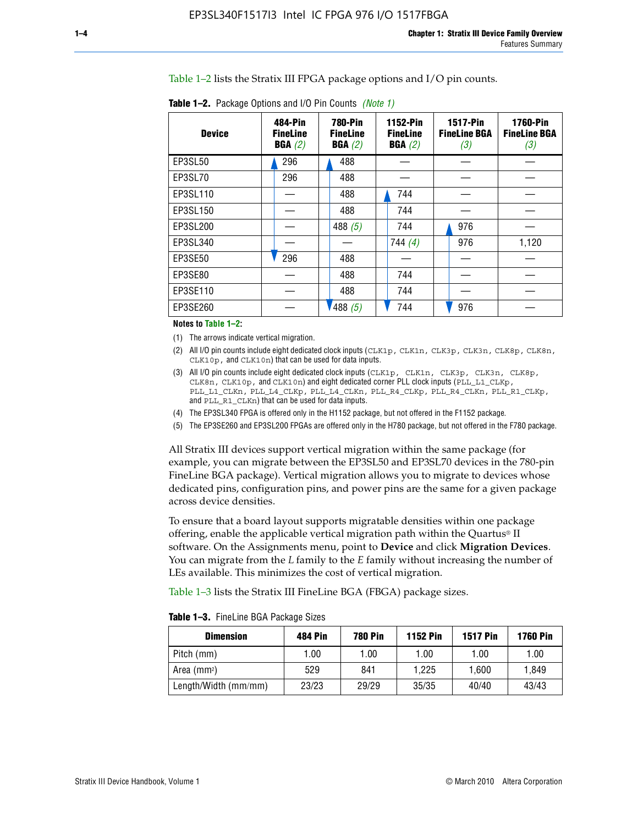Table 1–2 lists the Stratix III FPGA package options and I/O pin counts.

| <b>Device</b> | 484-Pin<br><b>FineLine</b><br>BGA(2) | <b>780-Pin</b><br><b>FineLine</b><br>BGA(2) | 1152-Pin<br><b>FineLine</b><br>BGA(2) | <b>1517-Pin</b><br><b>FineLine BGA</b><br>(3) | <b>1760-Pin</b><br><b>FineLine BGA</b><br>(3) |
|---------------|--------------------------------------|---------------------------------------------|---------------------------------------|-----------------------------------------------|-----------------------------------------------|
| EP3SL50       | 296                                  | 488                                         |                                       |                                               |                                               |
| EP3SL70       | 296                                  | 488                                         |                                       |                                               |                                               |
| EP3SL110      |                                      | 488                                         | 744                                   |                                               |                                               |
| EP3SL150      |                                      | 488                                         | 744                                   |                                               |                                               |
| EP3SL200      |                                      | 488 $(5)$                                   | 744                                   | 976                                           |                                               |
| EP3SL340      |                                      |                                             | 744 $(4)$                             | 976                                           | 1,120                                         |
| EP3SE50       | 296                                  | 488                                         |                                       |                                               |                                               |
| EP3SE80       |                                      | 488                                         | 744                                   |                                               |                                               |
| EP3SE110      |                                      | 488                                         | 744                                   |                                               |                                               |
| EP3SE260      |                                      | '488(5)                                     | 744                                   | 976                                           |                                               |

**Table 1–2.** Package Options and I/O Pin Counts *(Note 1)*

**Notes to Table 1–2:**

(1) The arrows indicate vertical migration.

- (2) All I/O pin counts include eight dedicated clock inputs (CLK1p, CLK1n, CLK3p, CLK3n, CLK8p, CLK8n, CLK10p, and CLK10n) that can be used for data inputs.
- (3) All I/O pin counts include eight dedicated clock inputs (CLK1p, CLK1n, CLK3p, CLK3n, CLK8p, CLK8n, CLK10p, and CLK10n) and eight dedicated corner PLL clock inputs (PLL\_L1\_CLKp, PLL\_L1\_CLKn, PLL\_L4\_CLKp, PLL\_L4\_CLKn, PLL\_R4\_CLKp, PLL\_R4\_CLKn, PLL\_R1\_CLKp, and PLL\_R1\_CLKn) that can be used for data inputs.
- (4) The EP3SL340 FPGA is offered only in the H1152 package, but not offered in the F1152 package.
- (5) The EP3SE260 and EP3SL200 FPGAs are offered only in the H780 package, but not offered in the F780 package.

All Stratix III devices support vertical migration within the same package (for example, you can migrate between the EP3SL50 and EP3SL70 devices in the 780-pin FineLine BGA package). Vertical migration allows you to migrate to devices whose dedicated pins, configuration pins, and power pins are the same for a given package across device densities.

To ensure that a board layout supports migratable densities within one package offering, enable the applicable vertical migration path within the Quartus® II software. On the Assignments menu, point to **Device** and click **Migration Devices**. You can migrate from the *L* family to the *E* family without increasing the number of LEs available. This minimizes the cost of vertical migration.

Table 1–3 lists the Stratix III FineLine BGA (FBGA) package sizes.

| <b>Dimension</b>     | 484 Pin | 780 Pin | <b>1152 Pin</b> | <b>1517 Pin</b> | <b>1760 Pin</b> |
|----------------------|---------|---------|-----------------|-----------------|-----------------|
| Pitch (mm)           | 1.00    | 00. ا   | 1.00            | 1.00            | 1.00            |
| Area $(mm2)$         | 529     | 841     | 1.225           | 1.600           | 1.849           |
| Length/Width (mm/mm) | 23/23   | 29/29   | 35/35           | 40/40           | 43/43           |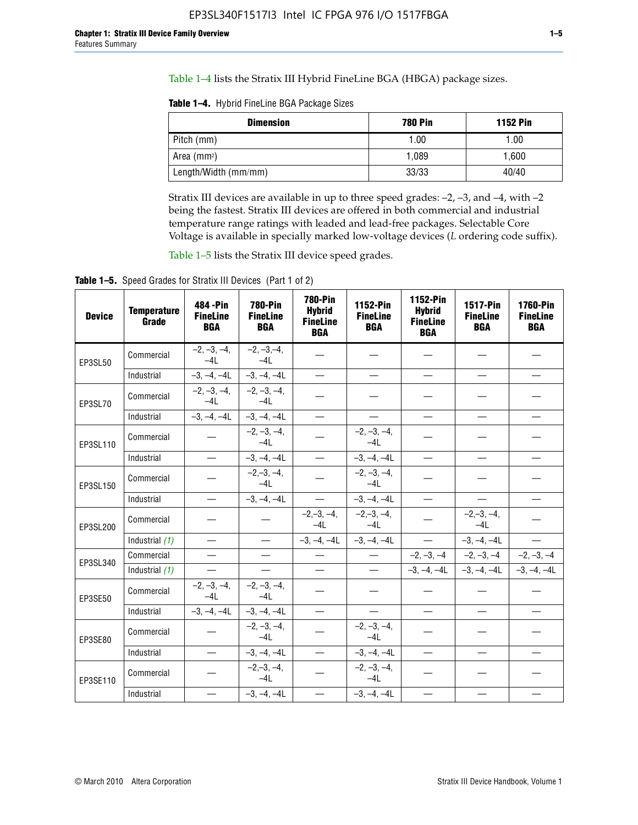Table 1–4 lists the Stratix III Hybrid FineLine BGA (HBGA) package sizes.

**Table 1–4.** Hybrid FineLine BGA Package Sizes

| <b>Dimension</b>     | <b>780 Pin</b> | <b>1152 Pin</b> |
|----------------------|----------------|-----------------|
| Pitch (mm)           | 1.00           | 1.00            |
| Area $(mm^2)$        | 1.089          | 1.600           |
| Length/Width (mm/mm) | 33/33          | 40/40           |

Stratix III devices are available in up to three speed grades: –2, –3, and –4, with –2 being the fastest. Stratix III devices are offered in both commercial and industrial temperature range ratings with leaded and lead-free packages. Selectable Core Voltage is available in specially marked low-voltage devices (*L* ordering code suffix).

Table 1–5 lists the Stratix III device speed grades.

Table 1-5. Speed Grades for Stratix III Devices (Part 1 of 2)

| <b>Device</b> | <b>Temperature</b><br>Grade | 484 - Pin<br><b>FineLine</b><br><b>BGA</b> | <b>780-Pin</b><br><b>FineLine</b><br><b>BGA</b> | <b>780-Pin</b><br><b>Hybrid</b><br><b>FineLine</b><br><b>BGA</b> | 1152-Pin<br><b>FineLine</b><br><b>BGA</b> | 1152-Pin<br><b>Hybrid</b><br><b>FineLine</b><br><b>BGA</b> | <b>1517-Pin</b><br><b>FineLine</b><br><b>BGA</b> | 1760-Pin<br><b>FineLine</b><br><b>BGA</b> |
|---------------|-----------------------------|--------------------------------------------|-------------------------------------------------|------------------------------------------------------------------|-------------------------------------------|------------------------------------------------------------|--------------------------------------------------|-------------------------------------------|
| EP3SL50       | Commercial                  | $-2, -3, -4,$<br>$-4L$                     | $-2, -3, -4,$<br>$-4L$                          |                                                                  |                                           |                                                            |                                                  |                                           |
|               | Industrial                  | $-3, -4, -4L$                              | $-3, -4, -4L$                                   | $\equiv$                                                         | $\equiv$                                  | $\equiv$                                                   | $\equiv$                                         | $\overline{\phantom{0}}$                  |
| EP3SL70       | Commercial                  | $-2, -3, -4,$<br>$-41$                     | $-2, -3, -4,$<br>$-41$                          |                                                                  |                                           |                                                            |                                                  |                                           |
|               | Industrial                  | $-3, -4, -4L$                              | $-3, -4, -4L$                                   | $\qquad \qquad -$                                                | $\overline{\phantom{0}}$                  | $\equiv$                                                   | $\equiv$                                         | $\equiv$                                  |
| EP3SL110      | Commercial                  |                                            | $-2, -3, -4,$<br>$-4L$                          |                                                                  | $-2, -3, -4,$<br>$-4L$                    |                                                            |                                                  |                                           |
|               | Industrial                  | $\equiv$                                   | $-3, -4, -4L$                                   |                                                                  | $-3, -4, -4L$                             | $\frac{1}{2}$                                              | $\equiv$                                         | $\equiv$                                  |
| EP3SL150      | Commercial                  |                                            | $-2, -3, -4,$<br>$-41$                          |                                                                  | $-2, -3, -4,$<br>$-41$                    |                                                            |                                                  |                                           |
|               | Industrial                  | $\overline{\phantom{m}}$                   | $-3, -4, -4L$                                   | $\overline{\phantom{m}}$                                         | $-3, -4, -4L$                             | $\overline{\phantom{m}}$                                   | $\overline{\phantom{0}}$                         | $\overbrace{\phantom{12322111}}$          |
| EP3SL200      | Commercial                  |                                            |                                                 | $-2, -3, -4,$<br>$-4L$                                           | $-2,-3,-4,$<br>$-4L$                      |                                                            | $-2,-3,-4,$<br>$-4L$                             |                                           |
|               | Industrial (1)              | $\equiv$                                   | $\equiv$                                        | $-3, -4, -4L$                                                    | $-3, -4, -4L$                             | $\frac{1}{1}$                                              | $-3, -4, -4L$                                    | $\equiv$                                  |
| EP3SL340      | Commercial                  | $\equiv$                                   | $\qquad \qquad$                                 | $\overline{\phantom{0}}$                                         | $\overline{\phantom{m}}$                  |                                                            | $-2, -3, -4$ $-2, -3, -4$                        | $-2, -3, -4$                              |
|               | Industrial (1)              |                                            | $\equiv$                                        | $\overline{\phantom{0}}$                                         | $\overline{\phantom{0}}$                  |                                                            | $-3, -4, -4$ $-3, -4, -4$                        | $-3, -4, -4L$                             |
| EP3SE50       | Commercial                  | $-2, -3, -4,$<br>$-4L$                     | $-2, -3, -4,$<br>$-4L$                          |                                                                  |                                           |                                                            |                                                  |                                           |
|               | Industrial                  | $-3, -4, -4L$                              | $-3, -4, -4L$                                   | $\equiv$                                                         | $\equiv$                                  | $\overline{\phantom{0}}$                                   | $\equiv$                                         | $\overline{\phantom{0}}$                  |
| EP3SE80       | Commercial                  |                                            | $-2, -3, -4,$<br>$-41$                          |                                                                  | $-2, -3, -4,$<br>$-41$                    |                                                            |                                                  |                                           |
|               | Industrial                  | $\overline{\phantom{m}}$                   | $-3, -4, -4L$                                   |                                                                  | $-3, -4, -4L$                             | $\qquad \qquad$                                            | $\equiv$                                         |                                           |
| EP3SE110      | Commercial                  |                                            | $-2, -3, -4,$<br>$-4L$                          |                                                                  | $-2, -3, -4,$<br>$-4L$                    |                                                            |                                                  |                                           |
|               | Industrial                  |                                            | $-3, -4, -4L$                                   | $\equiv$                                                         | $-3, -4, -4L$                             |                                                            |                                                  |                                           |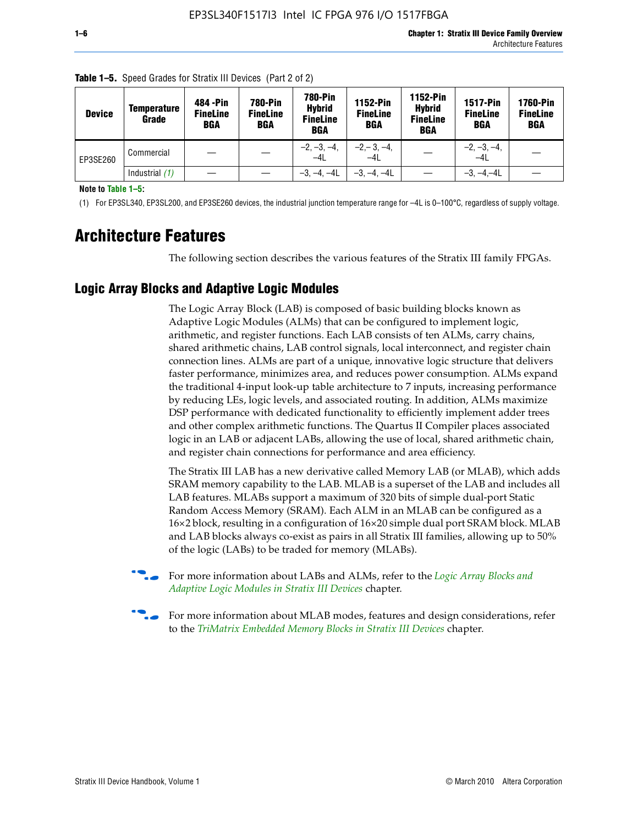| <b>Device</b> | Temperature<br>Grade | 484 - Pin<br><b>FineLine</b><br><b>BGA</b> | 780-Pin<br><b>FineLine</b><br>BGA | 780-Pin<br><b>Hybrid</b><br><b>FineLine</b><br><b>BGA</b> | <b>1152-Pin</b><br><b>FineLine</b><br><b>BGA</b> | 1152-Pin<br><b>Hybrid</b><br><b>FineLine</b><br><b>BGA</b> | <b>1517-Pin</b><br><b>FineLine</b><br>BGA | 1760-Pin<br><b>FineLine</b><br>BGA |
|---------------|----------------------|--------------------------------------------|-----------------------------------|-----------------------------------------------------------|--------------------------------------------------|------------------------------------------------------------|-------------------------------------------|------------------------------------|
| EP3SE260      | Commercial           |                                            |                                   | $-2, -3, -4,$<br>$-4L$                                    | $-2, -3, -4,$<br>$-4L$                           |                                                            | $-2, -3, -4,$<br>$-4L$                    |                                    |
|               | Industrial $(1)$     |                                            |                                   | $-3, -4, -4L$                                             | $-3, -4, -4L$                                    |                                                            | $-3, -4, -4L$                             |                                    |

**Table 1–5.** Speed Grades for Stratix III Devices (Part 2 of 2)

**Note to Table 1–5:**

(1) For EP3SL340, EP3SL200, and EP3SE260 devices, the industrial junction temperature range for –4L is 0–100°C, regardless of supply voltage.

# **Architecture Features**

The following section describes the various features of the Stratix III family FPGAs.

## **Logic Array Blocks and Adaptive Logic Modules**

The Logic Array Block (LAB) is composed of basic building blocks known as Adaptive Logic Modules (ALMs) that can be configured to implement logic, arithmetic, and register functions. Each LAB consists of ten ALMs, carry chains, shared arithmetic chains, LAB control signals, local interconnect, and register chain connection lines. ALMs are part of a unique, innovative logic structure that delivers faster performance, minimizes area, and reduces power consumption. ALMs expand the traditional 4-input look-up table architecture to 7 inputs, increasing performance by reducing LEs, logic levels, and associated routing. In addition, ALMs maximize DSP performance with dedicated functionality to efficiently implement adder trees and other complex arithmetic functions. The Quartus II Compiler places associated logic in an LAB or adjacent LABs, allowing the use of local, shared arithmetic chain, and register chain connections for performance and area efficiency.

The Stratix III LAB has a new derivative called Memory LAB (or MLAB), which adds SRAM memory capability to the LAB. MLAB is a superset of the LAB and includes all LAB features. MLABs support a maximum of 320 bits of simple dual-port Static Random Access Memory (SRAM). Each ALM in an MLAB can be configured as a 16×2 block, resulting in a configuration of 16×20 simple dual port SRAM block. MLAB and LAB blocks always co-exist as pairs in all Stratix III families, allowing up to 50% of the logic (LABs) to be traded for memory (MLABs).



f For more information about LABs and ALMs, refer to the *[Logic Array Blocks and](http://www.altera.com/literature/hb/stx3/stx3_siii51002.pdf)  [Adaptive Logic Modules in Stratix III Devices](http://www.altera.com/literature/hb/stx3/stx3_siii51002.pdf)* chapter.



For more information about MLAB modes, features and design considerations, refer to the *[TriMatrix Embedded Memory Blocks in Stratix III Devices](http://www.altera.com/literature/hb/stx3/stx3_siii51004.pdf)* chapter.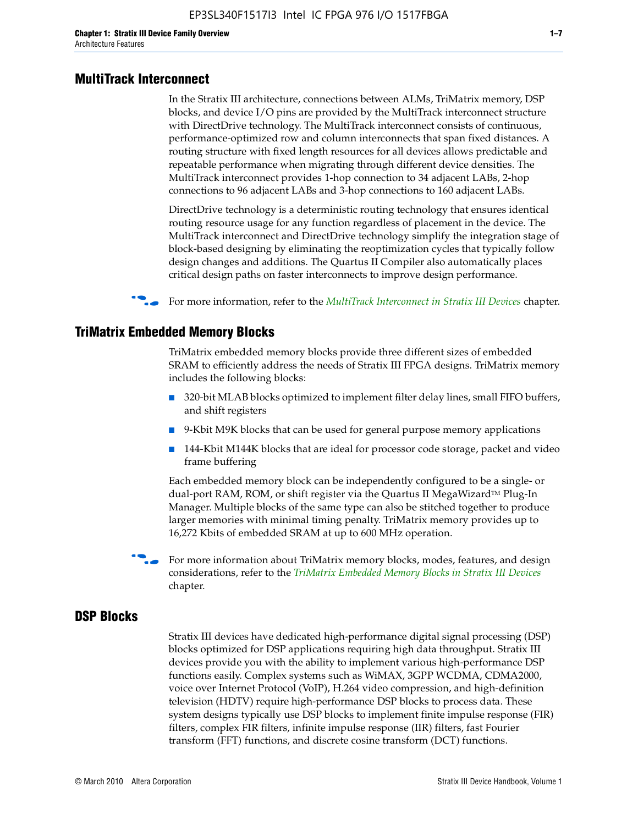#### **MultiTrack Interconnect**

In the Stratix III architecture, connections between ALMs, TriMatrix memory, DSP blocks, and device I/O pins are provided by the MultiTrack interconnect structure with DirectDrive technology. The MultiTrack interconnect consists of continuous, performance-optimized row and column interconnects that span fixed distances. A routing structure with fixed length resources for all devices allows predictable and repeatable performance when migrating through different device densities. The MultiTrack interconnect provides 1-hop connection to 34 adjacent LABs, 2-hop connections to 96 adjacent LABs and 3-hop connections to 160 adjacent LABs.

DirectDrive technology is a deterministic routing technology that ensures identical routing resource usage for any function regardless of placement in the device. The MultiTrack interconnect and DirectDrive technology simplify the integration stage of block-based designing by eliminating the reoptimization cycles that typically follow design changes and additions. The Quartus II Compiler also automatically places critical design paths on faster interconnects to improve design performance.

#### **For more information, refer to the** *[MultiTrack Interconnect in Stratix III Devices](http://www.altera.com/literature/hb/stx3/stx3_siii51003.pdf)* **chapter.**

### **TriMatrix Embedded Memory Blocks**

TriMatrix embedded memory blocks provide three different sizes of embedded SRAM to efficiently address the needs of Stratix III FPGA designs. TriMatrix memory includes the following blocks:

- 320-bit MLAB blocks optimized to implement filter delay lines, small FIFO buffers, and shift registers
- 9-Kbit M9K blocks that can be used for general purpose memory applications
- 144-Kbit M144K blocks that are ideal for processor code storage, packet and video frame buffering

Each embedded memory block can be independently configured to be a single- or dual-port RAM, ROM, or shift register via the Quartus II MegaWizard™ Plug-In Manager. Multiple blocks of the same type can also be stitched together to produce larger memories with minimal timing penalty. TriMatrix memory provides up to 16,272 Kbits of embedded SRAM at up to 600 MHz operation.

For more information about TriMatrix memory blocks, modes, features, and design considerations, refer to the *[TriMatrix Embedded Memory Blocks in Stratix III Devices](http://www.altera.com/literature/hb/stx3/stx3_siii51004.pdf)* chapter.

#### **DSP Blocks**

Stratix III devices have dedicated high-performance digital signal processing (DSP) blocks optimized for DSP applications requiring high data throughput. Stratix III devices provide you with the ability to implement various high-performance DSP functions easily. Complex systems such as WiMAX, 3GPP WCDMA, CDMA2000, voice over Internet Protocol (VoIP), H.264 video compression, and high-definition television (HDTV) require high-performance DSP blocks to process data. These system designs typically use DSP blocks to implement finite impulse response (FIR) filters, complex FIR filters, infinite impulse response (IIR) filters, fast Fourier transform (FFT) functions, and discrete cosine transform (DCT) functions.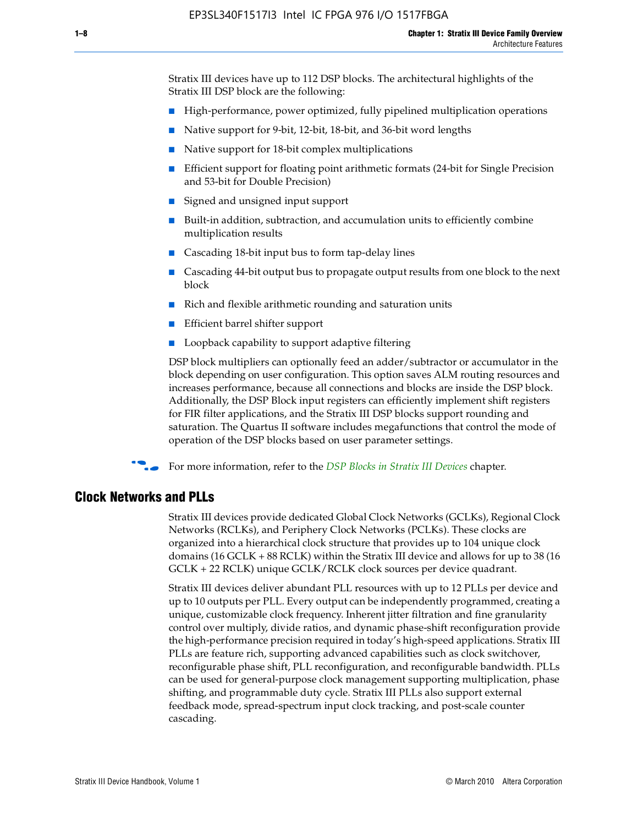Stratix III devices have up to 112 DSP blocks. The architectural highlights of the Stratix III DSP block are the following:

- High-performance, power optimized, fully pipelined multiplication operations
- Native support for 9-bit, 12-bit, 18-bit, and 36-bit word lengths
- Native support for 18-bit complex multiplications
- Efficient support for floating point arithmetic formats (24-bit for Single Precision and 53-bit for Double Precision)
- Signed and unsigned input support
- Built-in addition, subtraction, and accumulation units to efficiently combine multiplication results
- Cascading 18-bit input bus to form tap-delay lines
- Cascading 44-bit output bus to propagate output results from one block to the next block
- Rich and flexible arithmetic rounding and saturation units
- Efficient barrel shifter support
- Loopback capability to support adaptive filtering

DSP block multipliers can optionally feed an adder/subtractor or accumulator in the block depending on user configuration. This option saves ALM routing resources and increases performance, because all connections and blocks are inside the DSP block. Additionally, the DSP Block input registers can efficiently implement shift registers for FIR filter applications, and the Stratix III DSP blocks support rounding and saturation. The Quartus II software includes megafunctions that control the mode of operation of the DSP blocks based on user parameter settings.

f For more information, refer to the *[DSP Blocks in Stratix III Devices](http://www.altera.com/literature/hb/stx3/stx3_siii51005.pdf)* chapter.

### **Clock Networks and PLLs**

Stratix III devices provide dedicated Global Clock Networks (GCLKs), Regional Clock Networks (RCLKs), and Periphery Clock Networks (PCLKs). These clocks are organized into a hierarchical clock structure that provides up to 104 unique clock domains (16 GCLK + 88 RCLK) within the Stratix III device and allows for up to 38 (16 GCLK + 22 RCLK) unique GCLK/RCLK clock sources per device quadrant.

Stratix III devices deliver abundant PLL resources with up to 12 PLLs per device and up to 10 outputs per PLL. Every output can be independently programmed, creating a unique, customizable clock frequency. Inherent jitter filtration and fine granularity control over multiply, divide ratios, and dynamic phase-shift reconfiguration provide the high-performance precision required in today's high-speed applications. Stratix III PLLs are feature rich, supporting advanced capabilities such as clock switchover, reconfigurable phase shift, PLL reconfiguration, and reconfigurable bandwidth. PLLs can be used for general-purpose clock management supporting multiplication, phase shifting, and programmable duty cycle. Stratix III PLLs also support external feedback mode, spread-spectrum input clock tracking, and post-scale counter cascading.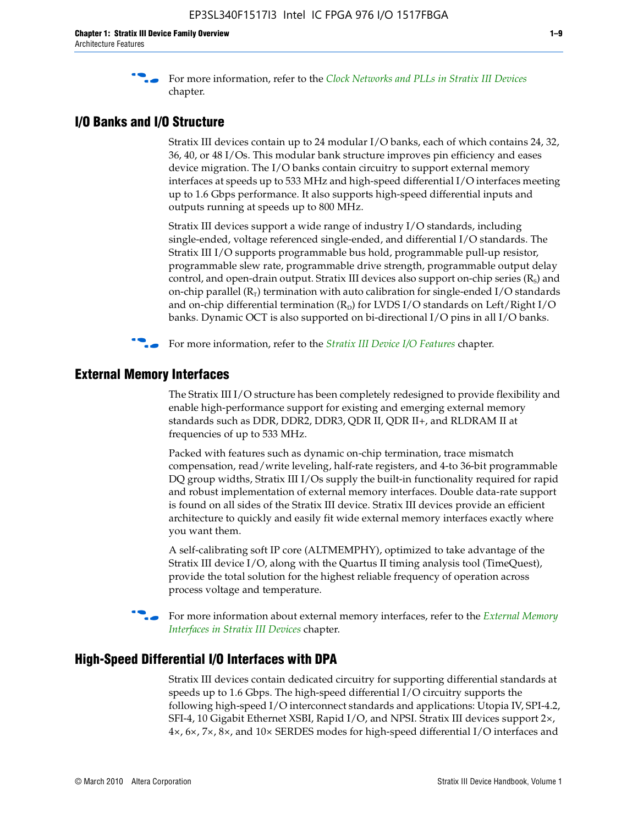f For more information, refer to the *[Clock Networks and PLLs in Stratix III Devices](http://www.altera.com/literature/hb/stx3/stx3_siii51006.pdf)* chapter.

## **I/O Banks and I/O Structure**

Stratix III devices contain up to 24 modular I/O banks, each of which contains 24, 32, 36, 40, or 48 I/Os. This modular bank structure improves pin efficiency and eases device migration. The I/O banks contain circuitry to support external memory interfaces at speeds up to 533 MHz and high-speed differential I/O interfaces meeting up to 1.6 Gbps performance. It also supports high-speed differential inputs and outputs running at speeds up to 800 MHz.

Stratix III devices support a wide range of industry I/O standards, including single-ended, voltage referenced single-ended, and differential I/O standards. The Stratix III I/O supports programmable bus hold, programmable pull-up resistor, programmable slew rate, programmable drive strength, programmable output delay control, and open-drain output. Stratix III devices also support on-chip series  $(R<sub>s</sub>)$  and on-chip parallel  $(R_T)$  termination with auto calibration for single-ended I/O standards and on-chip differential termination  $(R_D)$  for LVDS I/O standards on Left/Right I/O banks. Dynamic OCT is also supported on bi-directional I/O pins in all I/O banks.

**For more information, refer to the** *[Stratix III Device I/O Features](http://www.altera.com/literature/hb/stx3/stx3_siii51007.pdf)* **chapter.** 

# **External Memory Interfaces**

The Stratix III I/O structure has been completely redesigned to provide flexibility and enable high-performance support for existing and emerging external memory standards such as DDR, DDR2, DDR3, QDR II, QDR II+, and RLDRAM II at frequencies of up to 533 MHz.

Packed with features such as dynamic on-chip termination, trace mismatch compensation, read/write leveling, half-rate registers, and 4-to 36-bit programmable DQ group widths, Stratix III I/Os supply the built-in functionality required for rapid and robust implementation of external memory interfaces. Double data-rate support is found on all sides of the Stratix III device. Stratix III devices provide an efficient architecture to quickly and easily fit wide external memory interfaces exactly where you want them.

A self-calibrating soft IP core (ALTMEMPHY), optimized to take advantage of the Stratix III device I/O, along with the Quartus II timing analysis tool (TimeQuest), provide the total solution for the highest reliable frequency of operation across process voltage and temperature.

f For more information about external memory interfaces, refer to the *[External Memory](http://www.altera.com/literature/hb/stx3/stx3_siii51008.pdf)  [Interfaces in Stratix III Devices](http://www.altera.com/literature/hb/stx3/stx3_siii51008.pdf)* chapter.

#### **High-Speed Differential I/O Interfaces with DPA**

Stratix III devices contain dedicated circuitry for supporting differential standards at speeds up to 1.6 Gbps. The high-speed differential I/O circuitry supports the following high-speed I/O interconnect standards and applications: Utopia IV, SPI-4.2, SFI-4, 10 Gigabit Ethernet XSBI, Rapid I/O, and NPSI. Stratix III devices support 2×, 4×, 6×, 7×, 8×, and 10× SERDES modes for high-speed differential I/O interfaces and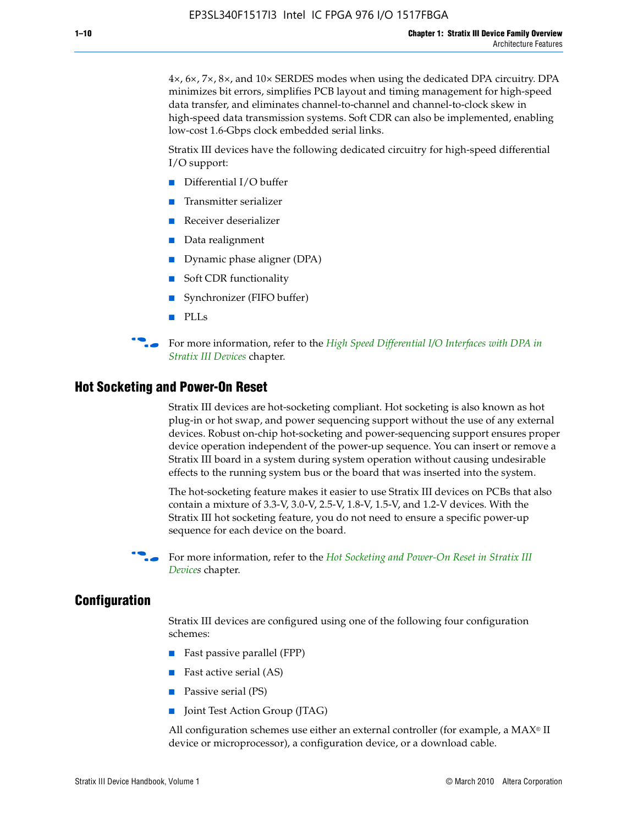4×, 6×, 7×, 8×, and 10× SERDES modes when using the dedicated DPA circuitry. DPA minimizes bit errors, simplifies PCB layout and timing management for high-speed data transfer, and eliminates channel-to-channel and channel-to-clock skew in high-speed data transmission systems. Soft CDR can also be implemented, enabling low-cost 1.6-Gbps clock embedded serial links.

Stratix III devices have the following dedicated circuitry for high-speed differential I/O support:

- Differential I/O buffer
- Transmitter serializer
- Receiver deserializer
- Data realignment
- Dynamic phase aligner (DPA)
- Soft CDR functionality
- Synchronizer (FIFO buffer)
- PLLs

**For more information, refer to the** *High Speed Differential I/O Interfaces with DPA in [Stratix III Devices](http://www.altera.com/literature/hb/stx3/stx3_siii51009.pdf)* chapter.

#### **Hot Socketing and Power-On Reset**

Stratix III devices are hot-socketing compliant. Hot socketing is also known as hot plug-in or hot swap, and power sequencing support without the use of any external devices. Robust on-chip hot-socketing and power-sequencing support ensures proper device operation independent of the power-up sequence. You can insert or remove a Stratix III board in a system during system operation without causing undesirable effects to the running system bus or the board that was inserted into the system.

The hot-socketing feature makes it easier to use Stratix III devices on PCBs that also contain a mixture of 3.3-V, 3.0-V, 2.5-V, 1.8-V, 1.5-V, and 1.2-V devices. With the Stratix III hot socketing feature, you do not need to ensure a specific power-up sequence for each device on the board.

f For more information, refer to the *[Hot Socketing and Power-On Reset in Stratix III](http://www.altera.com/literature/hb/stx3/stx3_siii51010.pdf)  [Device](http://www.altera.com/literature/hb/stx3/stx3_siii51010.pdf)s* chapter.

## **Configuration**

Stratix III devices are configured using one of the following four configuration schemes:

- Fast passive parallel (FPP)
- Fast active serial (AS)
- Passive serial (PS)
- Joint Test Action Group (JTAG)

All configuration schemes use either an external controller (for example, a  $MAX<sup>®</sup>$  II device or microprocessor), a configuration device, or a download cable.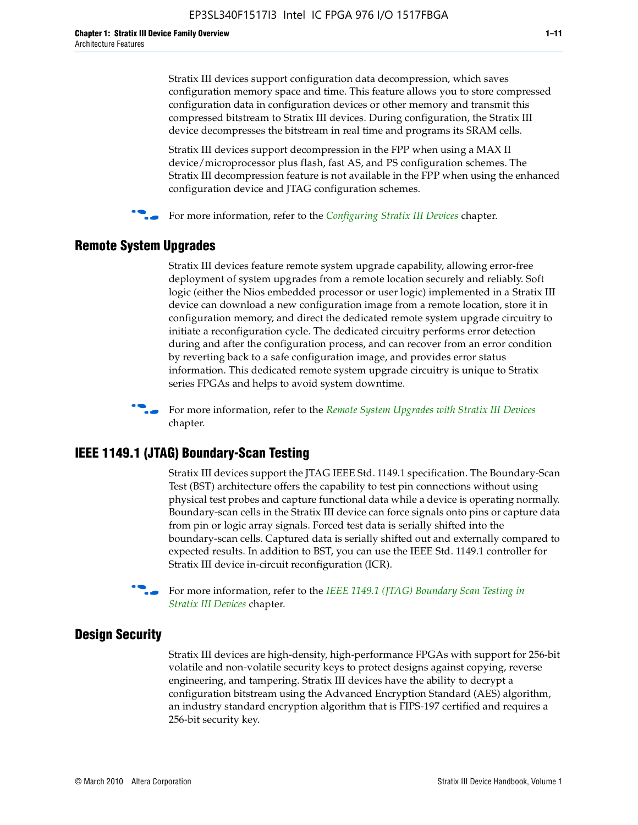Stratix III devices support configuration data decompression, which saves configuration memory space and time. This feature allows you to store compressed configuration data in configuration devices or other memory and transmit this compressed bitstream to Stratix III devices. During configuration, the Stratix III device decompresses the bitstream in real time and programs its SRAM cells.

Stratix III devices support decompression in the FPP when using a MAX II device/microprocessor plus flash, fast AS, and PS configuration schemes. The Stratix III decompression feature is not available in the FPP when using the enhanced configuration device and JTAG configuration schemes.

For more information, refer to the *[Configuring Stratix III Devices](http://www.altera.com/literature/hb/stx3/stx3_siii51011.pdf)* chapter.

# **Remote System Upgrades**

Stratix III devices feature remote system upgrade capability, allowing error-free deployment of system upgrades from a remote location securely and reliably. Soft logic (either the Nios embedded processor or user logic) implemented in a Stratix III device can download a new configuration image from a remote location, store it in configuration memory, and direct the dedicated remote system upgrade circuitry to initiate a reconfiguration cycle. The dedicated circuitry performs error detection during and after the configuration process, and can recover from an error condition by reverting back to a safe configuration image, and provides error status information. This dedicated remote system upgrade circuitry is unique to Stratix series FPGAs and helps to avoid system downtime.



**For more information, refer to the** *[Remote System Upgrades with Stratix III Devices](http://www.altera.com/literature/hb/stx3/stx3_siii51012.pdf)* chapter.

# **IEEE 1149.1 (JTAG) Boundary-Scan Testing**

Stratix III devices support the JTAG IEEE Std. 1149.1 specification. The Boundary-Scan Test (BST) architecture offers the capability to test pin connections without using physical test probes and capture functional data while a device is operating normally. Boundary-scan cells in the Stratix III device can force signals onto pins or capture data from pin or logic array signals. Forced test data is serially shifted into the boundary-scan cells. Captured data is serially shifted out and externally compared to expected results. In addition to BST, you can use the IEEE Std. 1149.1 controller for Stratix III device in-circuit reconfiguration (ICR).

For more information, refer to the *IEEE 1149.1 (JTAG) Boundary Scan Testing in [Stratix III Devices](http://www.altera.com/literature/hb/stx3/stx3_siii51013.pdf)* chapter.

# **Design Security**

Stratix III devices are high-density, high-performance FPGAs with support for 256-bit volatile and non-volatile security keys to protect designs against copying, reverse engineering, and tampering. Stratix III devices have the ability to decrypt a configuration bitstream using the Advanced Encryption Standard (AES) algorithm, an industry standard encryption algorithm that is FIPS-197 certified and requires a 256-bit security key.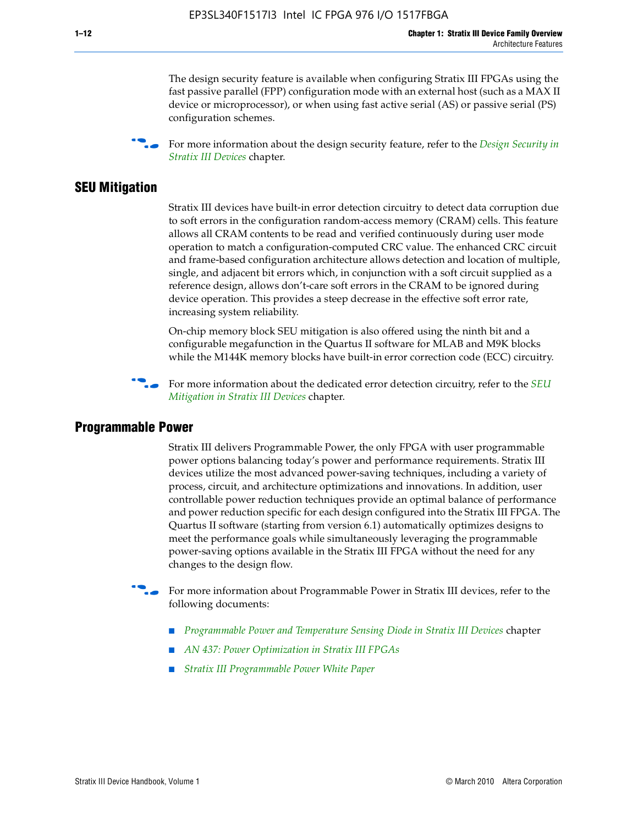The design security feature is available when configuring Stratix III FPGAs using the fast passive parallel (FPP) configuration mode with an external host (such as a MAX II device or microprocessor), or when using fast active serial (AS) or passive serial (PS) configuration schemes.

f For more information about the design security feature, refer to the *[Design Security in](http://www.altera.com/literature/hb/stx3/stx3_siii51014.pdf)  [Stratix III Devices](http://www.altera.com/literature/hb/stx3/stx3_siii51014.pdf)* chapter.

## **SEU Mitigation**

Stratix III devices have built-in error detection circuitry to detect data corruption due to soft errors in the configuration random-access memory (CRAM) cells. This feature allows all CRAM contents to be read and verified continuously during user mode operation to match a configuration-computed CRC value. The enhanced CRC circuit and frame-based configuration architecture allows detection and location of multiple, single, and adjacent bit errors which, in conjunction with a soft circuit supplied as a reference design, allows don't-care soft errors in the CRAM to be ignored during device operation. This provides a steep decrease in the effective soft error rate, increasing system reliability.

On-chip memory block SEU mitigation is also offered using the ninth bit and a configurable megafunction in the Quartus II software for MLAB and M9K blocks while the M144K memory blocks have built-in error correction code (ECC) circuitry.

For more information about the dedicated error detection circuitry, refer to the *SEU [Mitigation in Stratix III Devices](http://www.altera.com/literature/hb/stx3/stx3_siii51015.pdf)* chapter.

#### **Programmable Power**

Stratix III delivers Programmable Power, the only FPGA with user programmable power options balancing today's power and performance requirements. Stratix III devices utilize the most advanced power-saving techniques, including a variety of process, circuit, and architecture optimizations and innovations. In addition, user controllable power reduction techniques provide an optimal balance of performance and power reduction specific for each design configured into the Stratix III FPGA. The Quartus II software (starting from version 6.1) automatically optimizes designs to meet the performance goals while simultaneously leveraging the programmable power-saving options available in the Stratix III FPGA without the need for any changes to the design flow.

For more information about Programmable Power in Stratix III devices, refer to the following documents:

- *[Programmable Power and Temperature Sensing Diode in Stratix III Devices](http://www.altera.com/literature/hb/stx3/stx3_siii51016.pdf)* chapter
- *[AN 437: Power Optimization in Stratix III FPGAs](http://www.altera.com/literature/an/AN437.pdf)*
- *[Stratix III Programmable Power White Paper](http://www.altera.com/literature/wp/wp-01006.pdf)*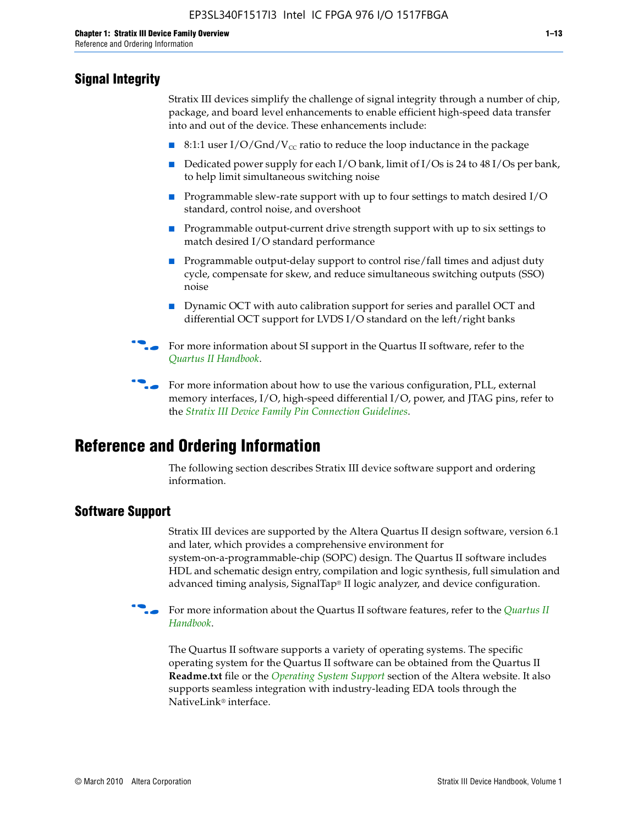# **Signal Integrity**

Stratix III devices simplify the challenge of signal integrity through a number of chip, package, and board level enhancements to enable efficient high-speed data transfer into and out of the device. These enhancements include:

- 8:1:1 user I/O/Gnd/V<sub>cc</sub> ratio to reduce the loop inductance in the package
- Dedicated power supply for each I/O bank, limit of I/Os is 24 to 48 I/Os per bank, to help limit simultaneous switching noise
- Programmable slew-rate support with up to four settings to match desired I/O standard, control noise, and overshoot
- Programmable output-current drive strength support with up to six settings to match desired I/O standard performance
- Programmable output-delay support to control rise/fall times and adjust duty cycle, compensate for skew, and reduce simultaneous switching outputs (SSO) noise
- Dynamic OCT with auto calibration support for series and parallel OCT and differential OCT support for LVDS I/O standard on the left/right banks
- For mor[e](http://www.altera.com/literature/hb/qts/quartusii_handbook.pdf) information about SI support in the Quartus II software, refer to the *[Quartus II Handbook](http://www.altera.com/literature/hb/qts/quartusii_handbook.pdf)*.

For more information about how to use the various configuration, PLL, external memory interfaces, I/O, high-speed differential I/O, power, and JTAG pins, refer to the *[Stratix III Device Family Pin Connection Guidelines](http://www.altera.com/literature/dp/stx3/PCG-01004.pdf)*.

# **Reference and Ordering Information**

The following section describes Stratix III device software support and ordering information.

# **Software Support**

Stratix III devices are supported by the Altera Quartus II design software, version 6.1 and later, which provides a comprehensive environment for system-on-a-programmable-chip (SOPC) design. The Quartus II software includes HDL and schematic design entry, compilation and logic synthesis, full simulation and advanced timing analysis, SignalTap® II logic analyzer, and device configuration.

**For more information about the [Quartus II](http://www.altera.com/literature/hb/qts/quartusii_handbook.pdf) software features, refer to the** *Quartus II* **<b>Fig. 7** *[Handbook](http://www.altera.com/literature/hb/qts/quartusii_handbook.pdf)*.

The Quartus II software supports a variety of operating systems. The specific operating system for the Quartus II software can be obtained from the Quartus II **Readme.txt** file or the *[Operating System Support](http://www.altera.com/support/software/os_support/oss-index.html)* section of the Altera website. It also supports seamless integration with industry-leading EDA tools through the NativeLink® interface.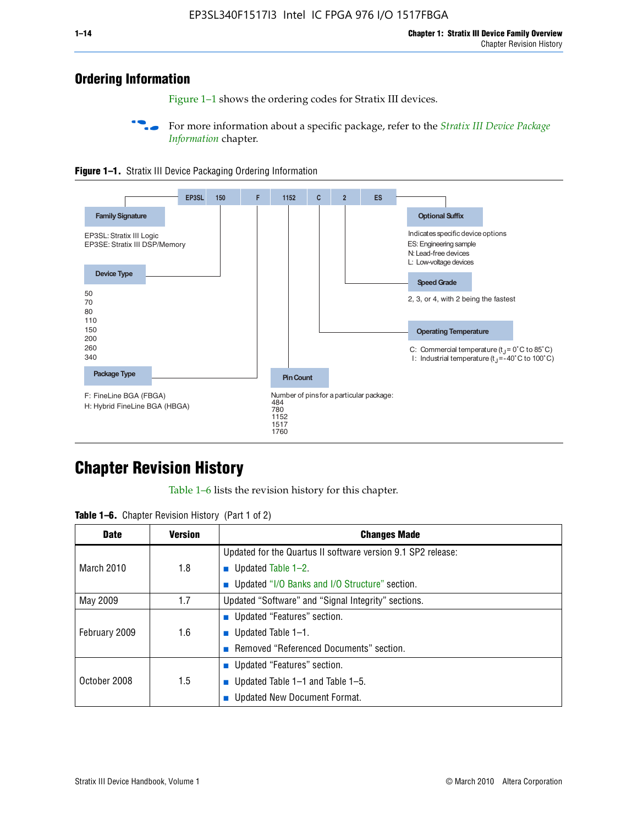# **Ordering Information**

Figure 1–1 shows the ordering codes for Stratix III devices.

For more information about a specific package, refer to the *Stratix III Device Package [Information](http://www.altera.com/literature/hb/stx3/stx3_siii51017.pdf)* chapter.





# **[C](http://www.altera.com/literature/hb/stx3/stx3_siii51012.pdf)hapter Revision History**

Table 1–6 lists the revision history for this chapter.

| <b>Table 1–6.</b> Chapter Revision History (Part 1 of 2) |  |  |  |  |  |
|----------------------------------------------------------|--|--|--|--|--|
|----------------------------------------------------------|--|--|--|--|--|

| <b>Date</b>       | <b>Version</b> | <b>Changes Made</b>                                          |
|-------------------|----------------|--------------------------------------------------------------|
|                   |                | Updated for the Quartus II software version 9.1 SP2 release: |
| <b>March 2010</b> | 1.8            | <b>u</b> Updated Table $1-2$ .                               |
|                   |                | ■ Updated "I/O Banks and I/O Structure" section.             |
| May 2009          | 1.7            | Updated "Software" and "Signal Integrity" sections.          |
|                   |                | Updated "Features" section.                                  |
| February 2009     | 1.6            | <b>u</b> Updated Table $1-1$ .                               |
|                   |                | Removed "Referenced Documents" section.                      |
|                   |                | ■ Updated "Features" section.                                |
| October 2008      | 1.5            | ■ Updated Table 1–1 and Table 1–5.                           |
|                   |                | <b>Updated New Document Format.</b>                          |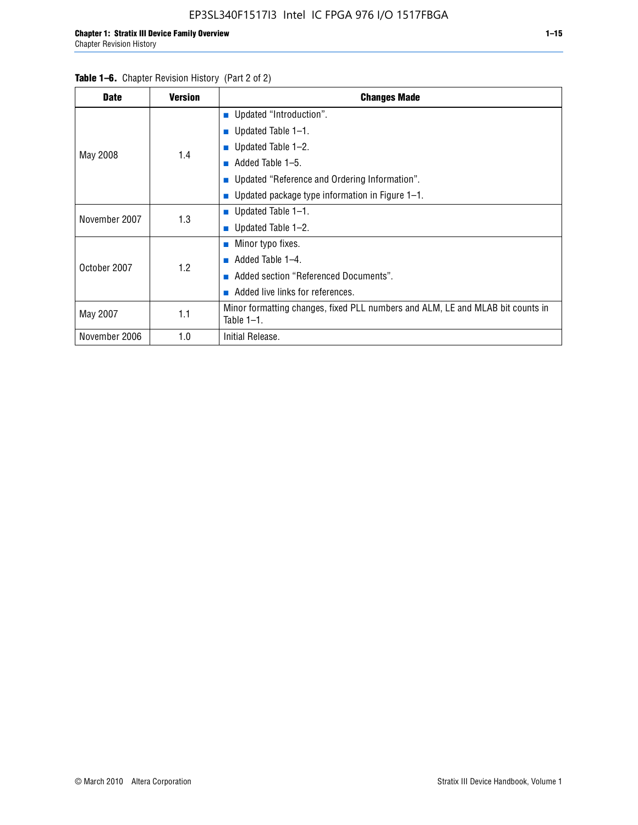#### Table 1–6. Chapter Revision History (Part 2 of 2)

| <b>Date</b>   | <b>Version</b> | <b>Changes Made</b>                                                                             |
|---------------|----------------|-------------------------------------------------------------------------------------------------|
|               |                | <b>Updated "Introduction".</b>                                                                  |
|               |                | ■ Updated Table $1-1$ .                                                                         |
|               |                | <b>u</b> Updated Table $1-2$ .                                                                  |
| May 2008      | 1.4            | Added Table 1–5.                                                                                |
|               |                | ■ Updated "Reference and Ordering Information".                                                 |
|               |                | ■ Updated package type information in Figure $1-1$ .                                            |
| November 2007 | 1.3            | <b>U</b> pdated Table $1-1$ .                                                                   |
|               |                | ■ Updated Table $1-2$ .                                                                         |
|               |                | Minor typo fixes.<br><b>Contract</b>                                                            |
| October 2007  | 1.2            | Added Table 1-4.                                                                                |
|               |                | Added section "Referenced Documents".                                                           |
|               |                | Added live links for references.                                                                |
| May 2007      | 1.1            | Minor formatting changes, fixed PLL numbers and ALM, LE and MLAB bit counts in<br>Table $1-1$ . |
| November 2006 | 1.0            | Initial Release.                                                                                |